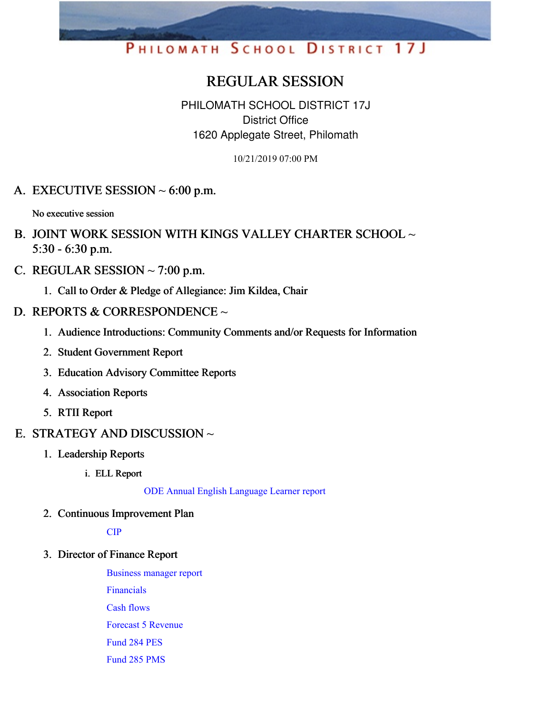# PHILOMATH SCHOOL DISTRICT 17J

# REGULAR SESSION

PHILOMATH SCHOOL DISTRICT 17J District Office 1620 Applegate Street, Philomath

10/21/2019 07:00 PM

A. EXECUTIVE SESSION  $\sim 6:00$  p.m.

No executive session

- B. JOINT WORK SESSION WITH KINGS VALLEY CHARTER SCHOOL ~ 5:30 - 6:30 p.m.
- C. REGULAR SESSION  $\sim$  7:00 p.m.
	- 1. Call to Order & Pledge of Allegiance: Jim Kildea, Chair
- D. REPORTS & CORRESPONDENCE ~
	- 1. Audience Introductions: Community Comments and/or Requests for Information
	- 2. Student Government Report
	- 3. Education Advisory Committee Reports
	- 4. Association Reports
	- 5. RTII Report
- E. STRATEGY AND DISCUSSION  $\sim$ 
	- 1. Leadership Reports
		- i. ELL Report

ODE Annual English [Language](https://app.eduportal.com/documents/view/730591) Learner report

2. Continuous Improvement Plan

[CIP](https://app.eduportal.com/documents/view/730807)

3. Director of Finance Report

[Business](https://app.eduportal.com/documents/view/730610) manager report [Financials](https://app.eduportal.com/documents/view/730611)

Cash [flows](https://app.eduportal.com/documents/view/730612)

Forecast 5 [Revenue](https://app.eduportal.com/documents/view/730613)

[Fund](https://app.eduportal.com/documents/view/730614) 284 PES

[Fund](https://app.eduportal.com/documents/view/730615) 285 PMS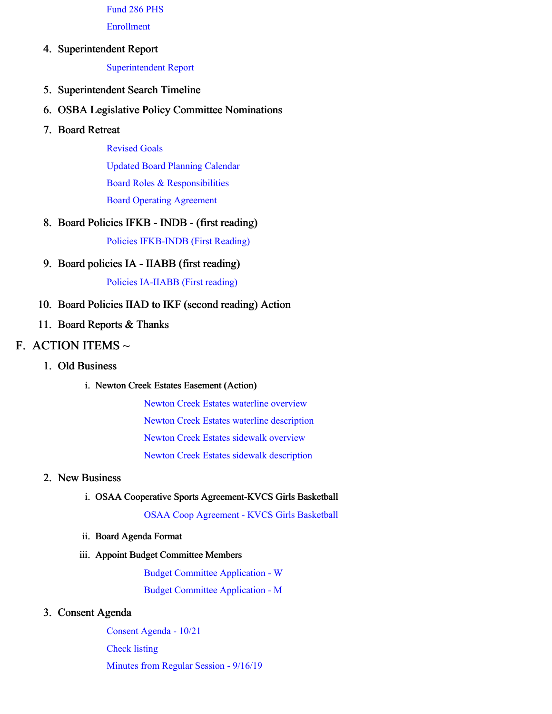[Fund](https://app.eduportal.com/documents/view/730616) 286 PHS

[Enrollment](https://app.eduportal.com/documents/view/730817)

#### 4. Superintendent Report

[Superintendent](https://app.eduportal.com/documents/view/731121) Report

- 5. Superintendent Search Timeline
- 6. OSBA Legislative Policy Committee Nominations
- 7. Board Retreat

[Revised](https://app.eduportal.com/documents/view/730861) Goals Updated Board Planning [Calendar](https://app.eduportal.com/documents/view/730862) Board Roles & [Responsibilities](https://app.eduportal.com/documents/view/730863) Board Operating [Agreement](https://app.eduportal.com/documents/view/730864)

#### 8. Board Policies IFKB - INDB - (first reading)

Policies [IFKB-INDB](https://app.eduportal.com/documents/view/730805) (First Reading)

9. Board policies IA - IIABB (first reading)

Policies [IA-IIABB](https://app.eduportal.com/documents/view/730804) (First reading)

#### 10. Board Policies IIAD to IKF (second reading) Action

11. Board Reports & Thanks

### F. ACTION ITEMS  $\sim$

- 1. Old Business
	- i. Newton Creek Estates Easement (Action)

Newton Creek Estates waterline [overview](https://app.eduportal.com/documents/view/730600) Newton Creek Estates waterline [description](https://app.eduportal.com/documents/view/730599) Newton Creek Estates sidewalk [overview](https://app.eduportal.com/documents/view/730598) Newton Creek Estates sidewalk [description](https://app.eduportal.com/documents/view/730597)

#### 2. New Business

#### i. OSAA Cooperative Sports Agreement-KVCS Girls Basketball

OSAA Coop [Agreement](https://app.eduportal.com/documents/view/728011) - KVCS Girls Basketball

ii. Board Agenda Format

#### iii. Appoint Budget Committee Members

Budget Committee [Application](https://app.eduportal.com/documents/view/730618) - W Budget Committee [Application](https://app.eduportal.com/documents/view/730617) - M

#### 3. Consent Agenda

[Consent](https://app.eduportal.com/documents/view/730917) Agenda - 10/21 [Check](https://app.eduportal.com/documents/view/730609) listing [Minutes](https://app.eduportal.com/documents/view/729031) from Regular Session - 9/16/19